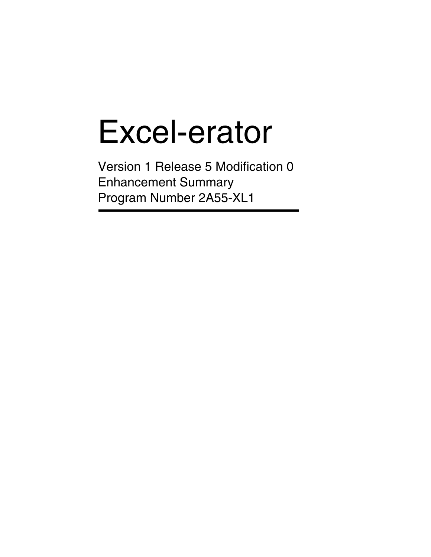# Excel-erator

Version 1 Release 5 Modification 0 Enhancement Summary Program Number 2A55-XL1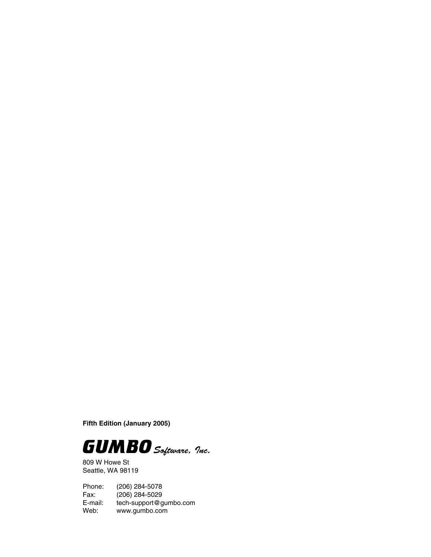**Fifth Edition (January 2005)**



809 W Howe St Seattle, WA 98119

Phone: (206) 284-5078 Fax: (206) 284-5029<br>E-mail: tech-support@g E-mail: tech-support@gumbo.com<br>Web: www.gumbo.com www.gumbo.com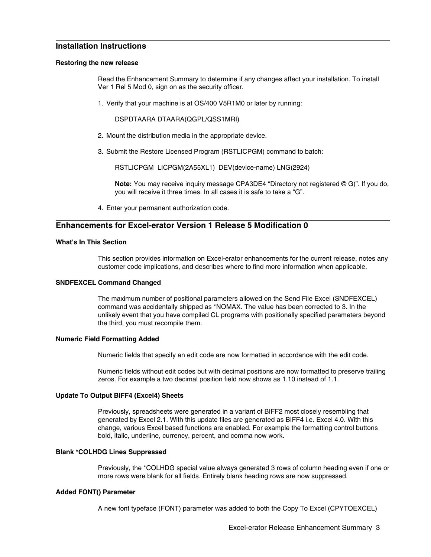# **Installation Instructions**

#### **Restoring the new release**

Read the Enhancement Summary to determine if any changes affect your installation. To install Ver 1 Rel 5 Mod 0, sign on as the security officer.

1. Verify that your machine is at OS/400 V5R1M0 or later by running:

DSPDTAARA DTAARA(QGPL/QSS1MRI)

- 2. Mount the distribution media in the appropriate device.
- 3. Submit the Restore Licensed Program (RSTLICPGM) command to batch:

RSTLICPGM LICPGM(2A55XL1) DEV(device-name) LNG(2924)

**Note:** You may receive inquiry message CPA3DE4 "Directory not registered © G)". If you do, you will receive it three times. In all cases it is safe to take a "G".

4. Enter your permanent authorization code.

# **Enhancements for Excel-erator Version 1 Release 5 Modification 0**

# **What's In This Section**

This section provides information on Excel-erator enhancements for the current release, notes any customer code implications, and describes where to find more information when applicable.

# **SNDFEXCEL Command Changed**

The maximum number of positional parameters allowed on the Send File Excel (SNDFEXCEL) command was accidentally shipped as \*NOMAX. The value has been corrected to 3. In the unlikely event that you have compiled CL programs with positionally specified parameters beyond the third, you must recompile them.

# **Numeric Field Formatting Added**

Numeric fields that specify an edit code are now formatted in accordance with the edit code.

Numeric fields without edit codes but with decimal positions are now formatted to preserve trailing zeros. For example a two decimal position field now shows as 1.10 instead of 1.1.

# **Update To Output BIFF4 (Excel4) Sheets**

Previously, spreadsheets were generated in a variant of BIFF2 most closely resembling that generated by Excel 2.1. With this update files are generated as BIFF4 i.e. Excel 4.0. With this change, various Excel based functions are enabled. For example the formatting control buttons bold, italic, underline, currency, percent, and comma now work.

# **Blank \*COLHDG Lines Suppressed**

Previously, the \*COLHDG special value always generated 3 rows of column heading even if one or more rows were blank for all fields. Entirely blank heading rows are now suppressed.

# **Added FONT() Parameter**

A new font typeface (FONT) parameter was added to both the Copy To Excel (CPYTOEXCEL)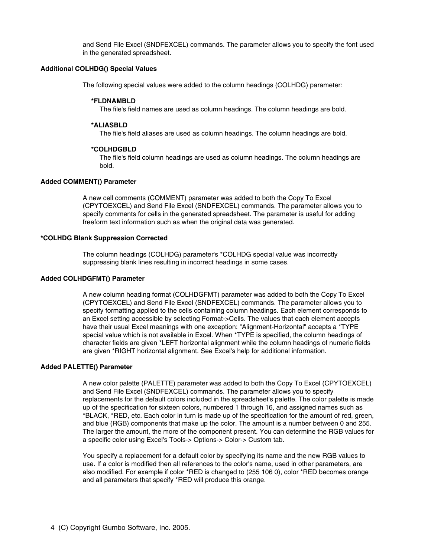and Send File Excel (SNDFEXCEL) commands. The parameter allows you to specify the font used in the generated spreadsheet.

# **Additional COLHDG() Special Values**

The following special values were added to the column headings (COLHDG) parameter:

#### **\*FLDNAMBLD**

The file's field names are used as column headings. The column headings are bold.

#### **\*ALIASBLD**

The file's field aliases are used as column headings. The column headings are bold.

#### **\*COLHDGBLD**

The file's field column headings are used as column headings. The column headings are bold.

# **Added COMMENT() Parameter**

A new cell comments (COMMENT) parameter was added to both the Copy To Excel (CPYTOEXCEL) and Send File Excel (SNDFEXCEL) commands. The parameter allows you to specify comments for cells in the generated spreadsheet. The parameter is useful for adding freeform text information such as when the original data was generated.

#### **\*COLHDG Blank Suppression Corrected**

The column headings (COLHDG) parameter's \*COLHDG special value was incorrectly suppressing blank lines resulting in incorrect headings in some cases.

# **Added COLHDGFMT() Parameter**

A new column heading format (COLHDGFMT) parameter was added to both the Copy To Excel (CPYTOEXCEL) and Send File Excel (SNDFEXCEL) commands. The parameter allows you to specify formatting applied to the cells containing column headings. Each element corresponds to an Excel setting accessible by selecting Format->Cells. The values that each element accepts have their usual Excel meanings with one exception: "Alignment-Horizontal" accepts a \*TYPE special value which is not available in Excel. When \*TYPE is specified, the column headings of character fields are given \*LEFT horizontal alignment while the column headings of numeric fields are given \*RIGHT horizontal alignment. See Excel's help for additional information.

# **Added PALETTE() Parameter**

A new color palette (PALETTE) parameter was added to both the Copy To Excel (CPYTOEXCEL) and Send File Excel (SNDFEXCEL) commands. The parameter allows you to specify replacements for the default colors included in the spreadsheet's palette. The color palette is made up of the specification for sixteen colors, numbered 1 through 16, and assigned names such as \*BLACK, \*RED, etc. Each color in turn is made up of the specification for the amount of red, green, and blue (RGB) components that make up the color. The amount is a number between 0 and 255. The larger the amount, the more of the component present. You can determine the RGB values for a specific color using Excel's Tools-> Options-> Color-> Custom tab.

You specify a replacement for a default color by specifying its name and the new RGB values to use. If a color is modified then all references to the color's name, used in other parameters, are also modified. For example if color \*RED is changed to (255 106 0), color \*RED becomes orange and all parameters that specify \*RED will produce this orange.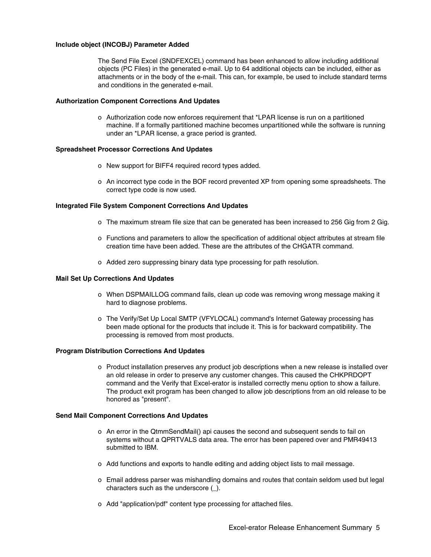# **Include object (INCOBJ) Parameter Added**

The Send File Excel (SNDFEXCEL) command has been enhanced to allow including additional objects (PC Files) in the generated e-mail. Up to 64 additional objects can be included, either as attachments or in the body of the e-mail. This can, for example, be used to include standard terms and conditions in the generated e-mail.

# **Authorization Component Corrections And Updates**

o Authorization code now enforces requirement that \*LPAR license is run on a partitioned machine. If a formally partitioned machine becomes unpartitioned while the software is running under an \*LPAR license, a grace period is granted.

# **Spreadsheet Processor Corrections And Updates**

- o New support for BIFF4 required record types added.
- o An incorrect type code in the BOF record prevented XP from opening some spreadsheets. The correct type code is now used.

# **Integrated File System Component Corrections And Updates**

- o The maximum stream file size that can be generated has been increased to 256 Gig from 2 Gig.
- o Functions and parameters to allow the specification of additional object attributes at stream file creation time have been added. These are the attributes of the CHGATR command.
- o Added zero suppressing binary data type processing for path resolution.

# **Mail Set Up Corrections And Updates**

- o When DSPMAILLOG command fails, clean up code was removing wrong message making it hard to diagnose problems.
- o The Verify/Set Up Local SMTP (VFYLOCAL) command's Internet Gateway processing has been made optional for the products that include it. This is for backward compatibility. The processing is removed from most products.

# **Program Distribution Corrections And Updates**

o Product installation preserves any product job descriptions when a new release is installed over an old release in order to preserve any customer changes. This caused the CHKPRDOPT command and the Verify that Excel-erator is installed correctly menu option to show a failure. The product exit program has been changed to allow job descriptions from an old release to be honored as "present".

# **Send Mail Component Corrections And Updates**

- o An error in the QtmmSendMail() api causes the second and subsequent sends to fail on systems without a QPRTVALS data area. The error has been papered over and PMR49413 submitted to IBM.
- o Add functions and exports to handle editing and adding object lists to mail message.
- o Email address parser was mishandling domains and routes that contain seldom used but legal characters such as the underscore (\_).
- o Add "application/pdf" content type processing for attached files.